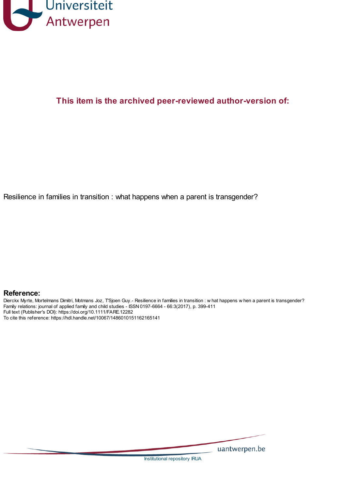

## **This item is the archived peer-reviewed author-version of:**

Resilience in families in transition : what happens when a parent is transgender?

#### **Reference:**

Dierckx Myrte, Mortelmans Dimitri, Motmans Joz, T'Sjoen Guy.- Resilience in families in transition : w hat happens w hen a parent is transgender? Family relations: journal of applied family and child studies - ISSN 0197-6664 - 66:3(2017), p. 399-411 Full text (Publisher's DOI): https://doi.org/10.1111/FARE.12282 To cite this reference: https://hdl.handle.net/10067/1486010151162165141

uantwerpen.be

[Institutional](http://anet.uantwerpen.be/irua) repository IRUA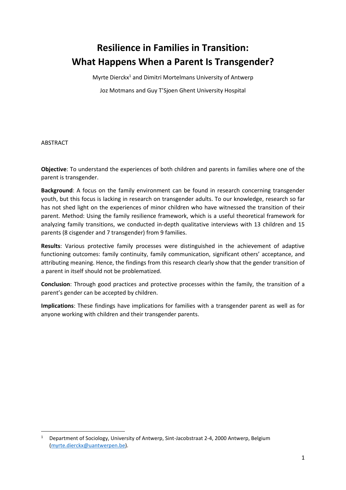# **Resilience in Families in Transition: What Happens When a Parent Is Transgender?**

Myrte Dierckx<sup>1</sup> and Dimitri Mortelmans University of Antwerp

Joz Motmans and Guy T'Sjoen Ghent University Hospital

ABSTRACT

**.** 

**Objective**: To understand the experiences of both children and parents in families where one of the parent is transgender.

**Background**: A focus on the family environment can be found in research concerning transgender youth, but this focus is lacking in research on transgender adults. To our knowledge, research so far has not shed light on the experiences of minor children who have witnessed the transition of their parent. Method: Using the family resilience framework, which is a useful theoretical framework for analyzing family transitions, we conducted in-depth qualitative interviews with 13 children and 15 parents (8 cisgender and 7 transgender) from 9 families.

**Results**: Various protective family processes were distinguished in the achievement of adaptive functioning outcomes: family continuity, family communication, significant others' acceptance, and attributing meaning. Hence, the findings from this research clearly show that the gender transition of a parent in itself should not be problematized.

**Conclusion**: Through good practices and protective processes within the family, the transition of a parent's gender can be accepted by children.

**Implications**: These findings have implications for families with a transgender parent as well as for anyone working with children and their transgender parents.

<sup>&</sup>lt;sup>1</sup> Department of Sociology, University of Antwerp, Sint-Jacobstraat 2-4, 2000 Antwerp, Belgium [\(myrte.dierckx@uantwerpen.be\)](mailto:myrte.dierckx@uantwerpen.be).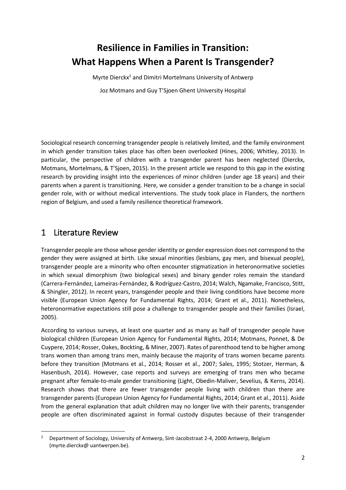# **Resilience in Families in Transition: What Happens When a Parent Is Transgender?**

Myrte Dierckx<sup>2</sup> and Dimitri Mortelmans University of Antwerp Joz Motmans and Guy T'Sjoen Ghent University Hospital

Sociological research concerning transgender people is relatively limited, and the family environment in which gender transition takes place has often been overlooked (Hines, 2006; Whitley, 2013). In particular, the perspective of children with a transgender parent has been neglected (Dierckx, Motmans, Mortelmans, & T'Sjoen, 2015). In the present article we respond to this gap in the existing research by providing insight into the experiences of minor children (under age 18 years) and their parents when a parent is transitioning. Here, we consider a gender transition to be a change in social gender role, with or without medical interventions. The study took place in Flanders, the northern region of Belgium, and used a family resilience theoretical framework.

## 1 Literature Review

**.** 

Transgender people are those whose gender identity or gender expression does not correspond to the gender they were assigned at birth. Like sexual minorities (lesbians, gay men, and bisexual people), transgender people are a minority who often encounter stigmatization in heteronormative societies in which sexual dimorphism (two biological sexes) and binary gender roles remain the standard (Carrera-Fernández, Lameiras-Fernández, & Rodríguez-Castro, 2014; Walch, Ngamake, Francisco, Stitt, & Shingler, 2012). In recent years, transgender people and their living conditions have become more visible (European Union Agency for Fundamental Rights, 2014; Grant et al., 2011). Nonetheless, heteronormative expectations still pose a challenge to transgender people and their families (Israel, 2005).

According to various surveys, at least one quarter and as many as half of transgender people have biological children (European Union Agency for Fundamental Rights, 2014; Motmans, Ponnet, & De Cuypere, 2014; Rosser, Oakes, Bockting, & Miner, 2007). Rates of parenthood tend to be higher among trans women than among trans men, mainly because the majority of trans women became parents before they transition (Motmans et al., 2014; Rosser et al., 2007; Sales, 1995; Stotzer, Herman, & Hasenbush, 2014). However, case reports and surveys are emerging of trans men who became pregnant after female-to-male gender transitioning (Light, Obedin-Maliver, Sevelius, & Kerns, 2014). Research shows that there are fewer transgender people living with children than there are transgender parents (European Union Agency for Fundamental Rights, 2014; Grant et al., 2011). Aside from the general explanation that adult children may no longer live with their parents, transgender people are often discriminated against in formal custody disputes because of their transgender

<sup>&</sup>lt;sup>2</sup> Department of Sociology, University of Antwerp, Sint-Jacobstraat 2-4, 2000 Antwerp, Belgium (myrte.dierckx@ uantwerpen.be).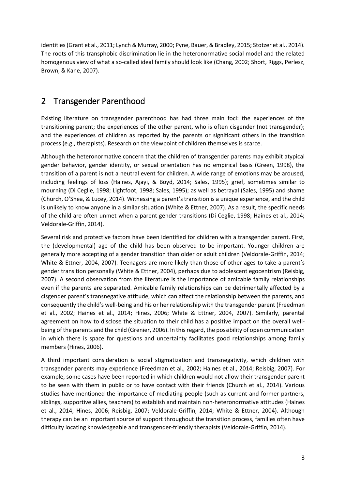identities (Grant et al., 2011; Lynch & Murray, 2000; Pyne, Bauer, & Bradley, 2015; Stotzer et al., 2014). The roots of this transphobic discrimination lie in the heteronormative social model and the related homogenous view of what a so-called ideal family should look like (Chang, 2002; Short, Riggs, Perlesz, Brown, & Kane, 2007).

# 2 Transgender Parenthood

Existing literature on transgender parenthood has had three main foci: the experiences of the transitioning parent; the experiences of the other parent, who is often cisgender (not transgender); and the experiences of children as reported by the parents or significant others in the transition process (e.g., therapists). Research on the viewpoint of children themselves is scarce.

Although the heteronormative concern that the children of transgender parents may exhibit atypical gender behavior, gender identity, or sexual orientation has no empirical basis (Green, 1998), the transition of a parent is not a neutral event for children. A wide range of emotions may be aroused, including feelings of loss (Haines, Ajayi, & Boyd, 2014; Sales, 1995); grief, sometimes similar to mourning (Di Ceglie, 1998; Lightfoot, 1998; Sales, 1995); as well as betrayal (Sales, 1995) and shame (Church, O'Shea, & Lucey, 2014). Witnessing a parent's transition is a unique experience, and the child is unlikely to know anyone in a similar situation (White & Ettner, 2007). As a result, the specific needs of the child are often unmet when a parent gender transitions (Di Ceglie, 1998; Haines et al., 2014; Veldorale-Griffin, 2014).

Several risk and protective factors have been identified for children with a transgender parent. First, the (developmental) age of the child has been observed to be important. Younger children are generally more accepting of a gender transition than older or adult children (Veldorale-Griffin, 2014; White & Ettner, 2004, 2007). Teenagers are more likely than those of other ages to take a parent's gender transition personally (White & Ettner, 2004), perhaps due to adolescent egocentrism (Reisbig, 2007). A second observation from the literature is the importance of amicable family relationships even if the parents are separated. Amicable family relationships can be detrimentally affected by a cisgender parent's transnegative attitude, which can affect the relationship between the parents, and consequently the child's well-being and his or her relationship with the transgender parent (Freedman et al., 2002; Haines et al., 2014; Hines, 2006; White & Ettner, 2004, 2007). Similarly, parental agreement on how to disclose the situation to their child has a positive impact on the overall wellbeing of the parents and the child (Grenier, 2006). In this regard, the possibility of open communication in which there is space for questions and uncertainty facilitates good relationships among family members (Hines, 2006).

A third important consideration is social stigmatization and transnegativity, which children with transgender parents may experience (Freedman et al., 2002; Haines et al., 2014; Reisbig, 2007). For example, some cases have been reported in which children would not allow their transgender parent to be seen with them in public or to have contact with their friends (Church et al., 2014). Various studies have mentioned the importance of mediating people (such as current and former partners, siblings, supportive allies, teachers) to establish and maintain non-heteronormative attitudes (Haines et al., 2014; Hines, 2006; Reisbig, 2007; Veldorale-Griffin, 2014; White & Ettner, 2004). Although therapy can be an important source of support throughout the transition process, families often have difficulty locating knowledgeable and transgender-friendly therapists (Veldorale-Griffin, 2014).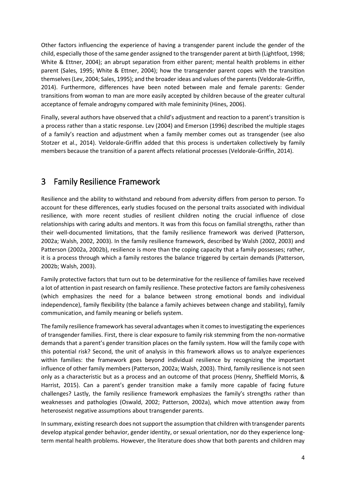Other factors influencing the experience of having a transgender parent include the gender of the child, especially those of the same gender assigned to the transgender parent at birth (Lightfoot, 1998; White & Ettner, 2004); an abrupt separation from either parent; mental health problems in either parent (Sales, 1995; White & Ettner, 2004); how the transgender parent copes with the transition themselves (Lev, 2004; Sales, 1995); and the broader ideas and values of the parents (Veldorale-Griffin, 2014). Furthermore, differences have been noted between male and female parents: Gender transitions from woman to man are more easily accepted by children because of the greater cultural acceptance of female androgyny compared with male femininity (Hines, 2006).

Finally, several authors have observed that a child's adjustment and reaction to a parent's transition is a process rather than a static response. Lev (2004) and Emerson (1996) described the multiple stages of a family's reaction and adjustment when a family member comes out as transgender (see also Stotzer et al., 2014). Veldorale-Griffin added that this process is undertaken collectively by family members because the transition of a parent affects relational processes (Veldorale-Griffin, 2014).

## 3 Family Resilience Framework

Resilience and the ability to withstand and rebound from adversity differs from person to person. To account for these differences, early studies focused on the personal traits associated with individual resilience, with more recent studies of resilient children noting the crucial influence of close relationships with caring adults and mentors. It was from this focus on familial strengths, rather than their well-documented limitations, that the family resilience framework was derived (Patterson, 2002a; Walsh, 2002, 2003). In the family resilience framework, described by Walsh (2002, 2003) and Patterson (2002a, 2002b), resilience is more than the coping capacity that a family possesses; rather, it is a process through which a family restores the balance triggered by certain demands (Patterson, 2002b; Walsh, 2003).

Family protective factors that turn out to be determinative for the resilience of families have received a lot of attention in past research on family resilience. These protective factors are family cohesiveness (which emphasizes the need for a balance between strong emotional bonds and individual independence), family flexibility (the balance a family achieves between change and stability), family communication, and family meaning or beliefs system.

The family resilience framework has several advantages when it comes to investigating the experiences of transgender families. First, there is clear exposure to family risk stemming from the non-normative demands that a parent's gender transition places on the family system. How will the family cope with this potential risk? Second, the unit of analysis in this framework allows us to analyze experiences within families: the framework goes beyond individual resilience by recognizing the important influence of other family members (Patterson, 2002a; Walsh, 2003). Third, family resilience is not seen only as a characteristic but as a process and an outcome of that process (Henry, Sheffield Morris, & Harrist, 2015). Can a parent's gender transition make a family more capable of facing future challenges? Lastly, the family resilience framework emphasizes the family's strengths rather than weaknesses and pathologies (Oswald, 2002; Patterson, 2002a), which move attention away from heterosexist negative assumptions about transgender parents.

In summary, existing research does not support the assumption that children with transgender parents develop atypical gender behavior, gender identity, or sexual orientation, nor do they experience longterm mental health problems. However, the literature does show that both parents and children may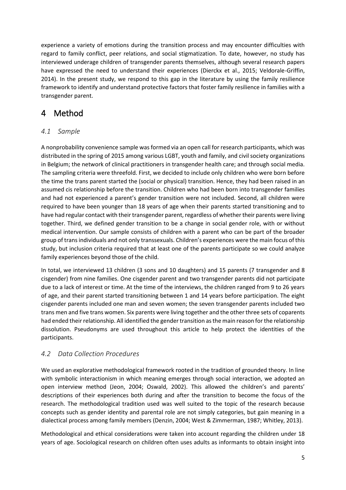experience a variety of emotions during the transition process and may encounter difficulties with regard to family conflict, peer relations, and social stigmatization. To date, however, no study has interviewed underage children of transgender parents themselves, although several research papers have expressed the need to understand their experiences (Dierckx et al., 2015; Veldorale-Griffin, 2014). In the present study, we respond to this gap in the literature by using the family resilience framework to identify and understand protective factors that foster family resilience in families with a transgender parent.

# 4 Method

#### *4.1 Sample*

A nonprobability convenience sample was formed via an open call for research participants, which was distributed in the spring of 2015 among various LGBT, youth and family, and civil society organizations in Belgium; the network of clinical practitioners in transgender health care; and through social media. The sampling criteria were threefold. First, we decided to include only children who were born before the time the trans parent started the (social or physical) transition. Hence, they had been raised in an assumed cis relationship before the transition. Children who had been born into transgender families and had not experienced a parent's gender transition were not included. Second, all children were required to have been younger than 18 years of age when their parents started transitioning and to have had regular contact with their transgender parent, regardless of whether their parents were living together. Third, we defined gender transition to be a change in social gender role, with or without medical intervention. Our sample consists of children with a parent who can be part of the broader group of trans individuals and not only transsexuals. Children's experiences were the main focus of this study, but inclusion criteria required that at least one of the parents participate so we could analyze family experiences beyond those of the child.

In total, we interviewed 13 children (3 sons and 10 daughters) and 15 parents (7 transgender and 8 cisgender) from nine families. One cisgender parent and two transgender parents did not participate due to a lack of interest or time. At the time of the interviews, the children ranged from 9 to 26 years of age, and their parent started transitioning between 1 and 14 years before participation. The eight cisgender parents included one man and seven women; the seven transgender parents included two trans men and five trans women. Six parents were living together and the other three sets of coparents had ended their relationship. All identified the gender transition as the main reason for the relationship dissolution. Pseudonyms are used throughout this article to help protect the identities of the participants.

#### *4.2 Data Collection Procedures*

We used an explorative methodological framework rooted in the tradition of grounded theory. In line with symbolic interactionism in which meaning emerges through social interaction, we adopted an open interview method (Jeon, 2004; Oswald, 2002). This allowed the children's and parents' descriptions of their experiences both during and after the transition to become the focus of the research. The methodological tradition used was well suited to the topic of the research because concepts such as gender identity and parental role are not simply categories, but gain meaning in a dialectical process among family members (Denzin, 2004; West & Zimmerman, 1987; Whitley, 2013).

Methodological and ethical considerations were taken into account regarding the children under 18 years of age. Sociological research on children often uses adults as informants to obtain insight into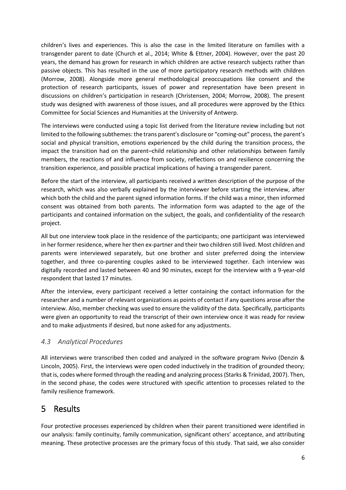children's lives and experiences. This is also the case in the limited literature on families with a transgender parent to date (Church et al., 2014; White & Ettner, 2004). However, over the past 20 years, the demand has grown for research in which children are active research subjects rather than passive objects. This has resulted in the use of more participatory research methods with children (Morrow, 2008). Alongside more general methodological preoccupations like consent and the protection of research participants, issues of power and representation have been present in discussions on children's participation in research (Christensen, 2004; Morrow, 2008). The present study was designed with awareness of those issues, and all procedures were approved by the Ethics Committee for Social Sciences and Humanities at the University of Antwerp.

The interviews were conducted using a topic list derived from the literature review including but not limited to the following subthemes: the trans parent's disclosure or "coming-out" process, the parent's social and physical transition, emotions experienced by the child during the transition process, the impact the transition had on the parent–child relationship and other relationships between family members, the reactions of and influence from society, reflections on and resilience concerning the transition experience, and possible practical implications of having a transgender parent.

Before the start of the interview, all participants received a written description of the purpose of the research, which was also verbally explained by the interviewer before starting the interview, after which both the child and the parent signed information forms. If the child was a minor, then informed consent was obtained from both parents. The information form was adapted to the age of the participants and contained information on the subject, the goals, and confidentiality of the research project.

All but one interview took place in the residence of the participants; one participant was interviewed in her former residence, where her then ex-partner and their two children still lived. Most children and parents were interviewed separately, but one brother and sister preferred doing the interview together, and three co-parenting couples asked to be interviewed together. Each interview was digitally recorded and lasted between 40 and 90 minutes, except for the interview with a 9-year-old respondent that lasted 17 minutes.

After the interview, every participant received a letter containing the contact information for the researcher and a number of relevant organizations as points of contact if any questions arose after the interview. Also, member checking was used to ensure the validity of the data. Specifically, participants were given an opportunity to read the transcript of their own interview once it was ready for review and to make adjustments if desired, but none asked for any adjustments.

#### *4.3 Analytical Procedures*

All interviews were transcribed then coded and analyzed in the software program Nvivo (Denzin & Lincoln, 2005). First, the interviews were open coded inductively in the tradition of grounded theory; that is, codes where formed through the reading and analyzing process (Starks & Trinidad, 2007). Then, in the second phase, the codes were structured with specific attention to processes related to the family resilience framework.

# 5 Results

Four protective processes experienced by children when their parent transitioned were identified in our analysis: family continuity, family communication, significant others' acceptance, and attributing meaning. These protective processes are the primary focus of this study. That said, we also consider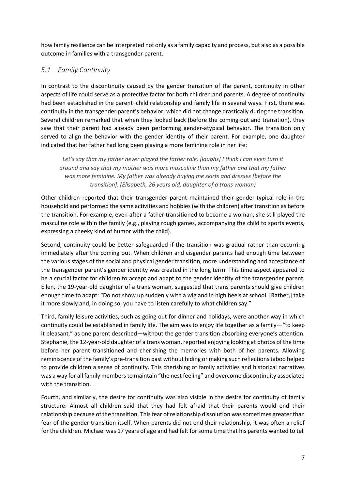how family resilience can be interpreted not only as a family capacity and process, but also as a possible outcome in families with a transgender parent.

#### *5.1 Family Continuity*

In contrast to the discontinuity caused by the gender transition of the parent, continuity in other aspects of life could serve as a protective factor for both children and parents. A degree of continuity had been established in the parent–child relationship and family life in several ways. First, there was continuity in the transgender parent's behavior, which did not change drastically during the transition. Several children remarked that when they looked back (before the coming out and transition), they saw that their parent had already been performing gender-atypical behavior. The transition only served to align the behavior with the gender identity of their parent. For example, one daughter indicated that her father had long been playing a more feminine role in her life:

*Let's say that my father never played the father role. [laughs] I think I can even turn it around and say that my mother was more masculine than my father and that my father was more feminine. My father was already buying me skirts and dresses [before the transition]. (Elisabeth, 26 years old, daughter of a trans woman)* 

Other children reported that their transgender parent maintained their gender-typical role in the household and performed the same activities and hobbies (with the children) after transition as before the transition. For example, even after a father transitioned to become a woman, she still played the masculine role within the family (e.g., playing rough games, accompanying the child to sports events, expressing a cheeky kind of humor with the child).

Second, continuity could be better safeguarded if the transition was gradual rather than occurring immediately after the coming out. When children and cisgender parents had enough time between the various stages of the social and physical gender transition, more understanding and acceptance of the transgender parent's gender identity was created in the long term. This time aspect appeared to be a crucial factor for children to accept and adapt to the gender identity of the transgender parent. Ellen, the 19-year-old daughter of a trans woman, suggested that trans parents should give children enough time to adapt: "Do not show up suddenly with a wig and in high heels at school. [Rather,] take it more slowly and, in doing so, you have to listen carefully to what children say."

Third, family leisure activities, such as going out for dinner and holidays, were another way in which continuity could be established in family life. The aim was to enjoy life together as a family—"to keep it pleasant," as one parent described—without the gender transition absorbing everyone's attention. Stephanie, the 12-year-old daughter of a trans woman, reported enjoying looking at photos of the time before her parent transitioned and cherishing the memories with both of her parents. Allowing reminiscence of the family's pre-transition past without hiding or making such reflections taboo helped to provide children a sense of continuity. This cherishing of family activities and historical narratives was a way for all family members to maintain "the nest feeling" and overcome discontinuity associated with the transition.

Fourth, and similarly, the desire for continuity was also visible in the desire for continuity of family structure: Almost all children said that they had felt afraid that their parents would end their relationship because of the transition. This fear of relationship dissolution was sometimes greater than fear of the gender transition itself. When parents did not end their relationship, it was often a relief for the children. Michael was 17 years of age and had felt for some time that his parents wanted to tell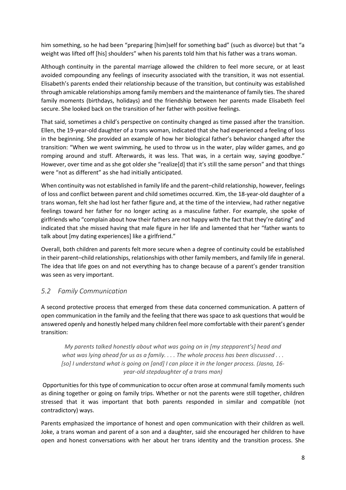him something, so he had been "preparing [him]self for something bad" (such as divorce) but that "a weight was lifted off [his] shoulders" when his parents told him that his father was a trans woman.

Although continuity in the parental marriage allowed the children to feel more secure, or at least avoided compounding any feelings of insecurity associated with the transition, it was not essential. Elisabeth's parents ended their relationship because of the transition, but continuity was established through amicable relationships among family members and the maintenance of family ties. The shared family moments (birthdays, holidays) and the friendship between her parents made Elisabeth feel secure. She looked back on the transition of her father with positive feelings.

That said, sometimes a child's perspective on continuity changed as time passed after the transition. Ellen, the 19-year-old daughter of a trans woman, indicated that she had experienced a feeling of loss in the beginning. She provided an example of how her biological father's behavior changed after the transition: "When we went swimming, he used to throw us in the water, play wilder games, and go romping around and stuff. Afterwards, it was less. That was, in a certain way, saying goodbye." However, over time and as she got older she "realize[d] that it's still the same person" and that things were "not as different" as she had initially anticipated.

When continuity was not established in family life and the parent–child relationship, however, feelings of loss and conflict between parent and child sometimes occurred. Kim, the 18-year-old daughter of a trans woman, felt she had lost her father figure and, at the time of the interview, had rather negative feelings toward her father for no longer acting as a masculine father. For example, she spoke of girlfriends who "complain about how their fathers are not happy with the fact that they're dating" and indicated that she missed having that male figure in her life and lamented that her "father wants to talk about [my dating experiences] like a girlfriend."

Overall, both children and parents felt more secure when a degree of continuity could be established in their parent–child relationships, relationships with other family members, and family life in general. The idea that life goes on and not everything has to change because of a parent's gender transition was seen as very important.

#### *5.2 Family Communication*

A second protective process that emerged from these data concerned communication. A pattern of open communication in the family and the feeling that there was space to ask questions that would be answered openly and honestly helped many children feel more comfortable with their parent's gender transition:

*My parents talked honestly about what was going on in [my stepparent's] head and what was lying ahead for us as a family. . . . The whole process has been discussed . . . [so] I understand what is going on [and] I can place it in the longer process. (Jasna, 16 year-old stepdaughter of a trans man)*

Opportunities for this type of communication to occur often arose at communal family moments such as dining together or going on family trips. Whether or not the parents were still together, children stressed that it was important that both parents responded in similar and compatible (not contradictory) ways.

Parents emphasized the importance of honest and open communication with their children as well. Joke, a trans woman and parent of a son and a daughter, said she encouraged her children to have open and honest conversations with her about her trans identity and the transition process. She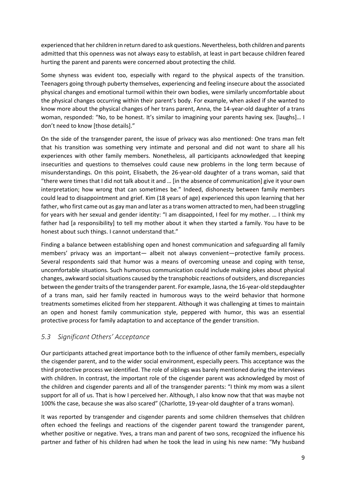experienced that her children in return dared to ask questions. Nevertheless, both children and parents admitted that this openness was not always easy to establish, at least in part because children feared hurting the parent and parents were concerned about protecting the child.

Some shyness was evident too, especially with regard to the physical aspects of the transition. Teenagers going through puberty themselves, experiencing and feeling insecure about the associated physical changes and emotional turmoil within their own bodies, were similarly uncomfortable about the physical changes occurring within their parent's body. For example, when asked if she wanted to know more about the physical changes of her trans parent, Anna, the 14-year-old daughter of a trans woman, responded: "No, to be honest. It's similar to imagining your parents having sex. [laughs]... I don't need to know [those details]."

On the side of the transgender parent, the issue of privacy was also mentioned: One trans man felt that his transition was something very intimate and personal and did not want to share all his experiences with other family members. Nonetheless, all participants acknowledged that keeping insecurities and questions to themselves could cause new problems in the long term because of misunderstandings. On this point, Elisabeth, the 26-year-old daughter of a trans woman, said that "there were times that I did not talk about it and … [in the absence of communication] give it your own interpretation; how wrong that can sometimes be." Indeed, dishonesty between family members could lead to disappointment and grief. Kim (18 years of age) experienced this upon learning that her father, who first came out as gay man and later as a trans women attracted to men, had been struggling for years with her sexual and gender identity: "I am disappointed, I feel for my mother. … I think my father had [a responsibility] to tell my mother about it when they started a family. You have to be honest about such things. I cannot understand that."

Finding a balance between establishing open and honest communication and safeguarding all family members' privacy was an important— albeit not always convenient—protective family process. Several respondents said that humor was a means of overcoming unease and coping with tense, uncomfortable situations. Such humorous communication could include making jokes about physical changes, awkward social situations caused by the transphobic reactions of outsiders, and discrepancies between the gender traits of the transgender parent. For example, Jasna, the 16-year-old stepdaughter of a trans man, said her family reacted in humorous ways to the weird behavior that hormone treatments sometimes elicited from her stepparent. Although it was challenging at times to maintain an open and honest family communication style, peppered with humor, this was an essential protective process for family adaptation to and acceptance of the gender transition.

#### *5.3 Significant Others' Acceptance*

Our participants attached great importance both to the influence of other family members, especially the cisgender parent, and to the wider social environment, especially peers. This acceptance was the third protective process we identified. The role of siblings was barely mentioned during the interviews with children. In contrast, the important role of the cisgender parent was acknowledged by most of the children and cisgender parents and all of the transgender parents: "I think my mom was a silent support for all of us. That is how I perceived her. Although, I also know now that that was maybe not 100% the case, because she was also scared" (Charlotte, 19-year-old daughter of a trans woman).

It was reported by transgender and cisgender parents and some children themselves that children often echoed the feelings and reactions of the cisgender parent toward the transgender parent, whether positive or negative. Yves, a trans man and parent of two sons, recognized the influence his partner and father of his children had when he took the lead in using his new name: "My husband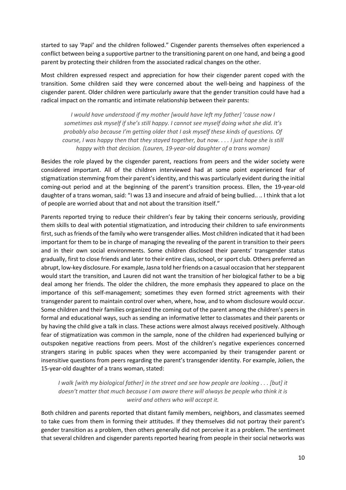started to say 'Papi' and the children followed." Cisgender parents themselves often experienced a conflict between being a supportive partner to the transitioning parent on one hand, and being a good parent by protecting their children from the associated radical changes on the other.

Most children expressed respect and appreciation for how their cisgender parent coped with the transition. Some children said they were concerned about the well-being and happiness of the cisgender parent. Older children were particularly aware that the gender transition could have had a radical impact on the romantic and intimate relationship between their parents:

*I would have understood if my mother [would have left my father] 'cause now I sometimes ask myself if she's still happy. I cannot see myself doing what she did. It's probably also because I'm getting older that I ask myself these kinds of questions. Of course, I was happy then that they stayed together, but now. . . . I just hope she is still happy with that decision. (Lauren, 19-year-old daughter of a trans woman)* 

Besides the role played by the cisgender parent, reactions from peers and the wider society were considered important. All of the children interviewed had at some point experienced fear of stigmatization stemming from their parent's identity, and this was particularly evident during the initial coming-out period and at the beginning of the parent's transition process. Ellen, the 19-year-old daughter of a trans woman, said: "I was 13 and insecure and afraid of being bullied.. .. I think that a lot of people are worried about that and not about the transition itself."

Parents reported trying to reduce their children's fear by taking their concerns seriously, providing them skills to deal with potential stigmatization, and introducing their children to safe environments first, such as friends of the family who were transgender allies. Most children indicated that it had been important for them to be in charge of managing the revealing of the parent in transition to their peers and in their own social environments. Some children disclosed their parents' transgender status gradually, first to close friends and later to their entire class, school, or sport club. Others preferred an abrupt, low-key disclosure. For example, Jasna told her friends on a casual occasion that her stepparent would start the transition, and Lauren did not want the transition of her biological father to be a big deal among her friends. The older the children, the more emphasis they appeared to place on the importance of this self-management; sometimes they even formed strict agreements with their transgender parent to maintain control over when, where, how, and to whom disclosure would occur. Some children and their families organized the coming out of the parent among the children's peers in formal and educational ways, such as sending an informative letter to classmates and their parents or by having the child give a talk in class. These actions were almost always received positively. Although fear of stigmatization was common in the sample, none of the children had experienced bullying or outspoken negative reactions from peers. Most of the children's negative experiences concerned strangers staring in public spaces when they were accompanied by their transgender parent or insensitive questions from peers regarding the parent's transgender identity. For example, Jolien, the 15-year-old daughter of a trans woman, stated:

*I walk [with my biological father] in the street and see how people are looking . . . [but] it doesn't matter that much because I am aware there will always be people who think it is weird and others who will accept it.* 

Both children and parents reported that distant family members, neighbors, and classmates seemed to take cues from them in forming their attitudes. If they themselves did not portray their parent's gender transition as a problem, then others generally did not perceive it as a problem. The sentiment that several children and cisgender parents reported hearing from people in their social networks was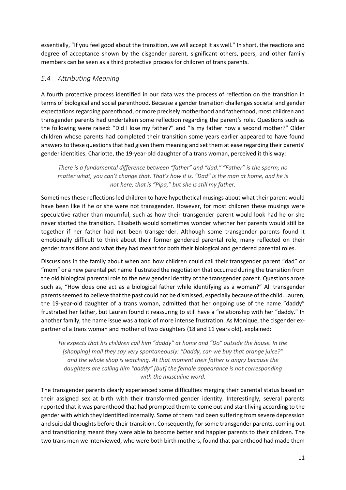essentially, "If you feel good about the transition, we will accept it as well." In short, the reactions and degree of acceptance shown by the cisgender parent, significant others, peers, and other family members can be seen as a third protective process for children of trans parents.

#### *5.4 Attributing Meaning*

A fourth protective process identified in our data was the process of reflection on the transition in terms of biological and social parenthood. Because a gender transition challenges societal and gender expectations regarding parenthood, or more precisely motherhood and fatherhood, most children and transgender parents had undertaken some reflection regarding the parent's role. Questions such as the following were raised: "Did I lose my father?" and "Is my father now a second mother?" Older children whose parents had completed their transition some years earlier appeared to have found answers to these questions that had given them meaning and set them at ease regarding their parents' gender identities. Charlotte, the 19-year-old daughter of a trans woman, perceived it this way:

*There is a fundamental difference between "father" and "dad." "Father" is the sperm; no matter what, you can't change that. That's how it is. "Dad" is the man at home, and he is not here; that is "Pipa," but she is still my father.* 

Sometimes these reflections led children to have hypothetical musings about what their parent would have been like if he or she were not transgender. However, for most children these musings were speculative rather than mournful, such as how their transgender parent would look had he or she never started the transition. Elisabeth would sometimes wonder whether her parents would still be together if her father had not been transgender. Although some transgender parents found it emotionally difficult to think about their former gendered parental role, many reflected on their gender transitions and what they had meant for both their biological and gendered parental roles.

Discussions in the family about when and how children could call their transgender parent "dad" or "mom" or a new parental pet name illustrated the negotiation that occurred during the transition from the old biological parental role to the new gender identity of the transgender parent. Questions arose such as, "How does one act as a biological father while identifying as a woman?" All transgender parents seemed to believe that the past could not be dismissed, especially because of the child. Lauren, the 19-year-old daughter of a trans woman, admitted that her ongoing use of the name "daddy" frustrated her father, but Lauren found it reassuring to still have a "relationship with her "daddy." In another family, the name issue was a topic of more intense frustration. As Monique, the cisgender expartner of a trans woman and mother of two daughters (18 and 11 years old), explained:

*He expects that his children call him "daddy" at home and "Do" outside the house. In the [shopping] mall they say very spontaneously: "Daddy, can we buy that orange juice?" and the whole shop is watching. At that moment their father is angry because the daughters are calling him "daddy" [but] the female appearance is not corresponding with the masculine word.* 

The transgender parents clearly experienced some difficulties merging their parental status based on their assigned sex at birth with their transformed gender identity. Interestingly, several parents reported that it was parenthood that had prompted them to come out and start living according to the gender with which they identified internally. Some of them had been suffering from severe depression and suicidal thoughts before their transition. Consequently, for some transgender parents, coming out and transitioning meant they were able to become better and happier parents to their children. The two trans men we interviewed, who were both birth mothers, found that parenthood had made them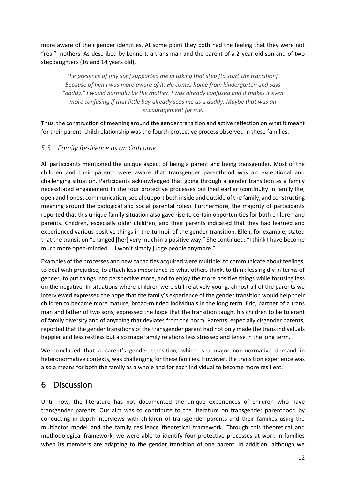more aware of their gender identities. At some point they both had the feeling that they were not "real" mothers. As described by Lennert, a trans man and the parent of a 2-year-old son and of two stepdaughters (16 and 14 years old),

*The presence of [my son] supported me in taking that step [to start the transition]. Because of him I was more aware of it. He comes home from kindergarten and says "daddy." I would normally be the mother. I was already confused and it makes it even more confusing if that little boy already sees me as a daddy. Maybe that was an encouragement for me.* 

Thus, the construction of meaning around the gender transition and active reflection on what it meant for their parent–child relationship was the fourth protective process observed in these families.

#### *5.5 Family Resilience as an Outcome*

All participants mentioned the unique aspect of being a parent and being transgender. Most of the children and their parents were aware that transgender parenthood was an exceptional and challenging situation. Participants acknowledged that going through a gender transition as a family necessitated engagement in the four protective processes outlined earlier (continuity in family life, open and honest communication, social support both inside and outside of the family, and constructing meaning around the biological and social parental roles). Furthermore, the majority of participants reported that this unique family situation also gave rise to certain opportunities for both children and parents. Children, especially older children, and their parents indicated that they had learned and experienced various positive things in the turmoil of the gender transition. Ellen, for example, stated that the transition "changed [her] very much in a positive way." She continued: "I think I have become much more open-minded … I won't simply judge people anymore."

Examples of the processes and new capacities acquired were multiple: to communicate about feelings, to deal with prejudice, to attach less importance to what others think, to think less rigidly in terms of gender, to put things into perspective more, and to enjoy the more positive things while focusing less on the negative. In situations where children were still relatively young, almost all of the parents we interviewed expressed the hope that the family's experience of the gender transition would help their children to become more mature, broad-minded individuals in the long term. Eric, partner of a trans man and father of two sons, expressed the hope that the transition taught his children to be tolerant of family diversity and of anything that deviates from the norm. Parents, especially cisgender parents, reported that the gender transitions of the transgender parent had not only made the trans individuals happier and less restless but also made family relations less stressed and tense in the long term.

We concluded that a parent's gender transition, which is a major non-normative demand in heteronormative contexts, was challenging for these families. However, the transition experience was also a means for both the family as a whole and for each individual to become more resilient.

# 6 Discussion

Until now, the literature has not documented the unique experiences of children who have transgender parents. Our aim was to contribute to the literature on transgender parenthood by conducting in-depth interviews with children of transgender parents and their families using the multiactor model and the family resilience theoretical framework. Through this theoretical and methodological framework, we were able to identify four protective processes at work in families when its members are adapting to the gender transition of one parent. In addition, although we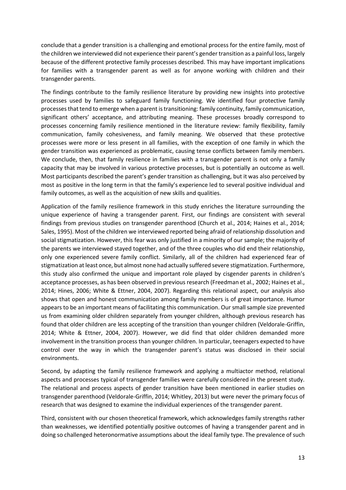conclude that a gender transition is a challenging and emotional process for the entire family, most of the children we interviewed did not experience their parent's gender transition as a painful loss, largely because of the different protective family processes described. This may have important implications for families with a transgender parent as well as for anyone working with children and their transgender parents.

The findings contribute to the family resilience literature by providing new insights into protective processes used by families to safeguard family functioning. We identified four protective family processes that tend to emerge when a parent is transitioning: family continuity, family communication, significant others' acceptance, and attributing meaning. These processes broadly correspond to processes concerning family resilience mentioned in the literature review: family flexibility, family communication, family cohesiveness, and family meaning. We observed that these protective processes were more or less present in all families, with the exception of one family in which the gender transition was experienced as problematic, causing tense conflicts between family members. We conclude, then, that family resilience in families with a transgender parent is not only a family capacity that may be involved in various protective processes, but is potentially an outcome as well. Most participants described the parent's gender transition as challenging, but it was also perceived by most as positive in the long term in that the family's experience led to several positive individual and family outcomes, as well as the acquisition of new skills and qualities.

Application of the family resilience framework in this study enriches the literature surrounding the unique experience of having a transgender parent. First, our findings are consistent with several findings from previous studies on transgender parenthood (Church et al., 2014; Haines et al., 2014; Sales, 1995). Most of the children we interviewed reported being afraid of relationship dissolution and social stigmatization. However, this fear was only justified in a minority of our sample; the majority of the parents we interviewed stayed together, and of the three couples who did end their relationship, only one experienced severe family conflict. Similarly, all of the children had experienced fear of stigmatization at least once, but almost none had actually suffered severe stigmatization. Furthermore, this study also confirmed the unique and important role played by cisgender parents in children's acceptance processes, as has been observed in previous research (Freedman et al., 2002; Haines et al., 2014; Hines, 2006; White & Ettner, 2004, 2007). Regarding this relational aspect, our analysis also shows that open and honest communication among family members is of great importance. Humor appears to be an important means of facilitating this communication. Our small sample size prevented us from examining older children separately from younger children, although previous research has found that older children are less accepting of the transition than younger children (Veldorale-Griffin, 2014; White & Ettner, 2004, 2007). However, we did find that older children demanded more involvement in the transition process than younger children. In particular, teenagers expected to have control over the way in which the transgender parent's status was disclosed in their social environments.

Second, by adapting the family resilience framework and applying a multiactor method, relational aspects and processes typical of transgender families were carefully considered in the present study. The relational and process aspects of gender transition have been mentioned in earlier studies on transgender parenthood (Veldorale-Griffin, 2014; Whitley, 2013) but were never the primary focus of research that was designed to examine the individual experiences of the transgender parent.

Third, consistent with our chosen theoretical framework, which acknowledges family strengths rather than weaknesses, we identified potentially positive outcomes of having a transgender parent and in doing so challenged heteronormative assumptions about the ideal family type. The prevalence of such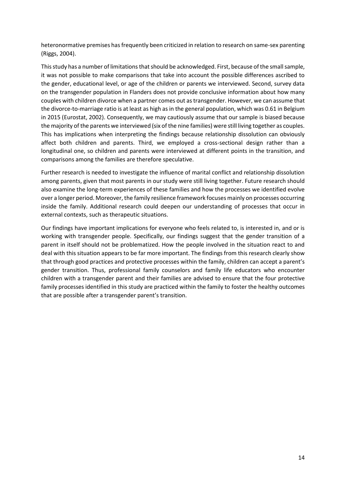heteronormative premises has frequently been criticized in relation to research on same-sex parenting (Riggs, 2004).

This study has a number of limitations that should be acknowledged. First, because of the smallsample, it was not possible to make comparisons that take into account the possible differences ascribed to the gender, educational level, or age of the children or parents we interviewed. Second, survey data on the transgender population in Flanders does not provide conclusive information about how many couples with children divorce when a partner comes out as transgender. However, we can assume that the divorce-to-marriage ratio is at least as high as in the general population, which was 0.61 in Belgium in 2015 (Eurostat, 2002). Consequently, we may cautiously assume that our sample is biased because the majority of the parents we interviewed (six of the nine families) were still living together as couples. This has implications when interpreting the findings because relationship dissolution can obviously affect both children and parents. Third, we employed a cross-sectional design rather than a longitudinal one, so children and parents were interviewed at different points in the transition, and comparisons among the families are therefore speculative.

Further research is needed to investigate the influence of marital conflict and relationship dissolution among parents, given that most parents in our study were still living together. Future research should also examine the long-term experiences of these families and how the processes we identified evolve over a longer period. Moreover, the family resilience framework focuses mainly on processes occurring inside the family. Additional research could deepen our understanding of processes that occur in external contexts, such as therapeutic situations.

Our findings have important implications for everyone who feels related to, is interested in, and or is working with transgender people. Specifically, our findings suggest that the gender transition of a parent in itself should not be problematized. How the people involved in the situation react to and deal with this situation appears to be far more important. The findings from this research clearly show that through good practices and protective processes within the family, children can accept a parent's gender transition. Thus, professional family counselors and family life educators who encounter children with a transgender parent and their families are advised to ensure that the four protective family processes identified in this study are practiced within the family to foster the healthy outcomes that are possible after a transgender parent's transition.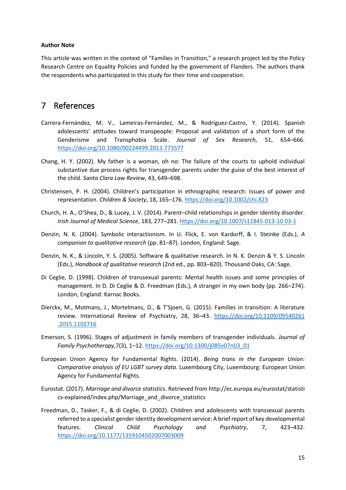#### **Author Note**

This article was written in the context of "Families in Transition," a research project led by the Policy Research Centre on Equality Policies and funded by the government of Flanders. The authors thank the respondents who participated in this study for their time and cooperation.

### 7 References

- Carrera-Fernández, M. V., Lameiras-Fernández, M., & Rodríguez-Castro, Y. (2014). Spanish adolescents' attitudes toward transpeople: Proposal and validation of a short form of the Genderisme and Transphobia Scale. *Journal of Sex Research*, 51, 654–666. <https://doi.org/10.1080/00224499.2013.773577>
- Chang, H. Y. (2002). My father is a woman, oh no: The failure of the courts to uphold individual substantive due process rights for transgender parents under the guise of the best interest of the child. *Santa Clara Law Review*, 43, 649–698.
- Christensen, P. H. (2004). Children's participation in ethnographic research: Issues of power and representation. *Children & Society*, 18, 165–176.<https://doi.org/10.1002/chi.823>
- Church, H. A., O'Shea, D., & Lucey, J. V. (2014). Parent–child relationships in gender identity disorder. *Irish Journal of Medical Science*, 183, 277–281[. https://doi.org/10.1007/s11845-013-10 03-1](https://doi.org/10.1007/s11845-013-10%2003-1)
- Denzin, N. K. (2004). Symbolic interactionism. In U. Flick, E. von Kardorff, & I. Steinke (Eds.), *A companion to qualitative research* (pp. 81–87). London, England: Sage.
- Denzin, N. K., & Lincoln, Y. S. (2005). Software & qualitative research. In N. K. Denzin & Y. S. Lincoln (Eds.), *Handbook of qualitative research* (2nd ed., pp. 803–820). Thousand Oaks, CA: Sage.
- Di Ceglie, D. (1998). Children of transsexual parents: Mental health issues and some principles of management. In D. Di Ceglie & D. Freedman (Eds.), A stranger in my own body (pp. 266–274). London, England: Karnac Books.
- Dierckx, M., Motmans, J., Mortelmans, D., & T'Sjoen, G. (2015). Families in transition: A literature review. International Review of Psychiatry, 28, 36-43. https://doi.org/10.3109/09540261 [.2015.1102716](https://doi.org/10.3109/09540261%20.2015.1102716)
- Emerson, S. (1996). Stages of adjustment in family members of transgender individuals. *Journal of Family Psychotherapy*,7(3), 1–12[. https://doi.org/10.1300/j085v07n03\\_01](https://doi.org/10.1300/j085v07n03_01)
- European Union Agency for Fundamental Rights. (2014). *Being trans in the European Union: Comparative analysis of EU LGBT survey data*. Luxembourg City, Luxembourg: European Union Agency for Fundamental Rights.
- Eurostat. (2017). *Marriage and divorce statistics*. Retrieved from http://ec.europa.eu/eurostat/statisti cs-explained/index.php/Marriage\_and\_divorce\_statistics
- Freedman, D., Tasker, F., & di Ceglie, D. (2002). Children and adolescents with transsexual parents referred to a specialist gender identity development service: A brief report of key developmental features. *Clinical Child Psychology and Psychiatry*, 7, 423–432. <https://doi.org/10.1177/1359104502007003009>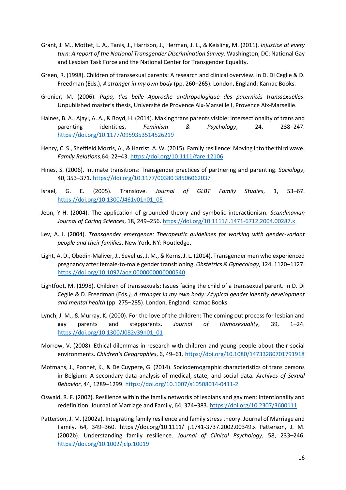- Grant, J. M., Mottet, L. A., Tanis, J., Harrison, J., Herman, J. L., & Keisling, M. (2011). *Injustice at every turn: A report of the National Transgender Discrimination Survey*. Washington, DC: National Gay and Lesbian Task Force and the National Center for Transgender Equality.
- Green, R. (1998). Children of transsexual parents: A research and clinical overview. In D. Di Ceglie & D. Freedman (Eds.), *A stranger in my own body* (pp. 260–265). London, England: Karnac Books.
- Grenier, M. (2006). *Papa, t'es belle Approche anthropologique des paternités transsexuelles*. Unpublished master's thesis, Université de Provence Aix-Marseille I, Provence Aix-Marseille.
- Haines, B. A., Ajayi, A. A., & Boyd, H. (2014). Making trans parents visible: Intersectionality of trans and parenting identities. *Feminism & Psychology*, 24, 238–247. <https://doi.org/10.1177/0959353514526219>
- Henry, C. S., Sheffield Morris, A., & Harrist, A. W. (2015). Family resilience: Moving into the third wave. *Family Relations*,64, 22–43[. https://doi.org/10.1111/fare.12106](https://doi.org/10.1111/fare.12106)
- Hines, S. (2006). Intimate transitions: Transgender practices of partnering and parenting. *Sociology*, 40, 353–371. [https://doi.org/10.1177/00380 38506062037](https://doi.org/10.1177/00380%2038506062037)
- Israel, G. E. (2005). Translove. *Journal of GLBT Family Studies*, 1, 53–67. [https://doi.org/10.1300/J461v01n01\\_05](https://doi.org/10.1300/J461v01n01_05)
- Jeon, Y-H. (2004). The application of grounded theory and symbolic interactionism. *Scandinavian Journal of Caring Sciences*, 18, 249–256.<https://doi.org/10.1111/j.1471-6712.2004.00287.x>
- Lev, A. I. (2004). *Transgender emergence: Therapeutic guidelines for working with gender-variant people and their families*. New York, NY: Routledge.
- Light, A. D., Obedin-Maliver, J., Sevelius, J. M., & Kerns, J. L. (2014). Transgender men who experienced pregnancy after female-to-male gender transitioning. *Obstetrics & Gynecology*, 124, 1120–1127. <https://doi.org/10.1097/aog.0000000000000540>
- Lightfoot, M. (1998). Children of transsexuals: Issues facing the child of a transsexual parent. In D. Di Ceglie & D. Freedman (Eds*.), A stranger in my own body: Atypical gender identity development and mental health* (pp. 275–285). London, England: Karnac Books.
- Lynch, J. M., & Murray, K. (2000). For the love of the children: The coming out process for lesbian and gay parents and stepparents. *Journal of Homosexuality*, 39, 1–24. [https://doi.org/10.1300/J082v39n01\\_01](https://doi.org/10.1300/J082v39n01_01)
- Morrow, V. (2008). Ethical dilemmas in research with children and young people about their social environments. *Children's Geographies*, 6, 49–61.<https://doi.org/10.1080/14733280701791918>
- Motmans, J., Ponnet, K., & De Cuypere, G. (2014). Sociodemographic characteristics of trans persons in Belgium: A secondary data analysis of medical, state, and social data. *Archives of Sexual Behavior*, 44, 1289–1299[. https://doi.org/10.1007/s10508014-0411-2](https://doi.org/10.1007/s10508014-0411-2)
- Oswald, R. F. (2002). Resilience within the family networks of lesbians and gay men: Intentionality and redefinition. Journal of Marriage and Family, 64, 374–383.<https://doi.org/10.2307/3600111>
- Patterson, J. M. (2002a). Integrating family resilience and family stress theory. Journal of Marriage and Family, 64, 349–360. https://doi.org/10.1111/ j.1741-3737.2002.00349.x Patterson, J. M. (2002b). Understanding family resilience. *Journal of Clinical Psychology*, 58, 233–246. <https://doi.org/10.1002/jclp.10019>